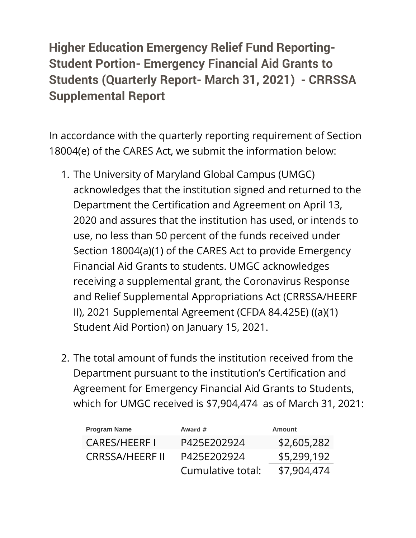## **Higher Education Emergency Relief Fund Reporting-Student Portion- Emergency Financial Aid Grants to Students (Quarterly Report- March 31, 2021) - CRRSSA Supplemental Report**

In accordance with the quarterly reporting requirement of Section 18004(e) of the CARES Act, we submit the information below:

- 1. The University of Maryland Global Campus (UMGC) acknowledges that the institution signed and returned to the Department the Certification and Agreement on April 13, 2020 and assures that the institution has used, or intends to use, no less than 50 percent of the funds received under Section 18004(a)(1) of the CARES Act to provide Emergency Financial Aid Grants to students. UMGC acknowledges receiving a supplemental grant, the Coronavirus Response and Relief Supplemental Appropriations Act (CRRSSA/HEERF II), 2021 Supplemental Agreement (CFDA 84.425E) ((a)(1) Student Aid Portion) on January 15, 2021.
- 2. The total amount of funds the institution received from the Department pursuant to the institution's Certification and Agreement for Emergency Financial Aid Grants to Students, which for UMGC received is \$7,904,474 as of March 31, 2021:

| <b>Program Name</b> | Award #           | <b>Amount</b> |
|---------------------|-------------------|---------------|
| <b>CARES/HEERFI</b> | P425E202924       | \$2,605,282   |
| CRRSSA/HEERF II     | P425E202924       | \$5,299,192   |
|                     | Cumulative total: | \$7,904,474   |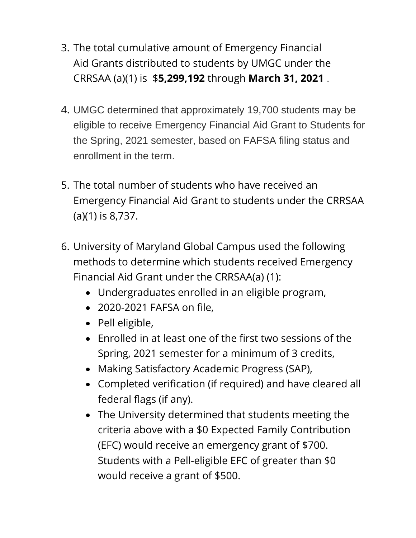- 3. The total cumulative amount of Emergency Financial Aid Grants distributed to students by UMGC under the CRRSAA (a)(1) is \$**5,299,192** through **March 31, 2021** .
- 4. UMGC determined that approximately 19,700 students may be eligible to receive Emergency Financial Aid Grant to Students for the Spring, 2021 semester, based on FAFSA filing status and enrollment in the term.
- 5. The total number of students who have received an Emergency Financial Aid Grant to students under the CRRSAA (a)(1) is 8,737.
- 6. University of Maryland Global Campus used the following methods to determine which students received Emergency Financial Aid Grant under the CRRSAA(a) (1):
	- Undergraduates enrolled in an eligible program,
	- 2020-2021 FAFSA on file,
	- Pell eligible,
	- Enrolled in at least one of the first two sessions of the Spring, 2021 semester for a minimum of 3 credits,
	- Making Satisfactory Academic Progress (SAP),
	- Completed verification (if required) and have cleared all federal flags (if any).
	- The University determined that students meeting the criteria above with a \$0 Expected Family Contribution (EFC) would receive an emergency grant of \$700. Students with a Pell-eligible EFC of greater than \$0 would receive a grant of \$500.